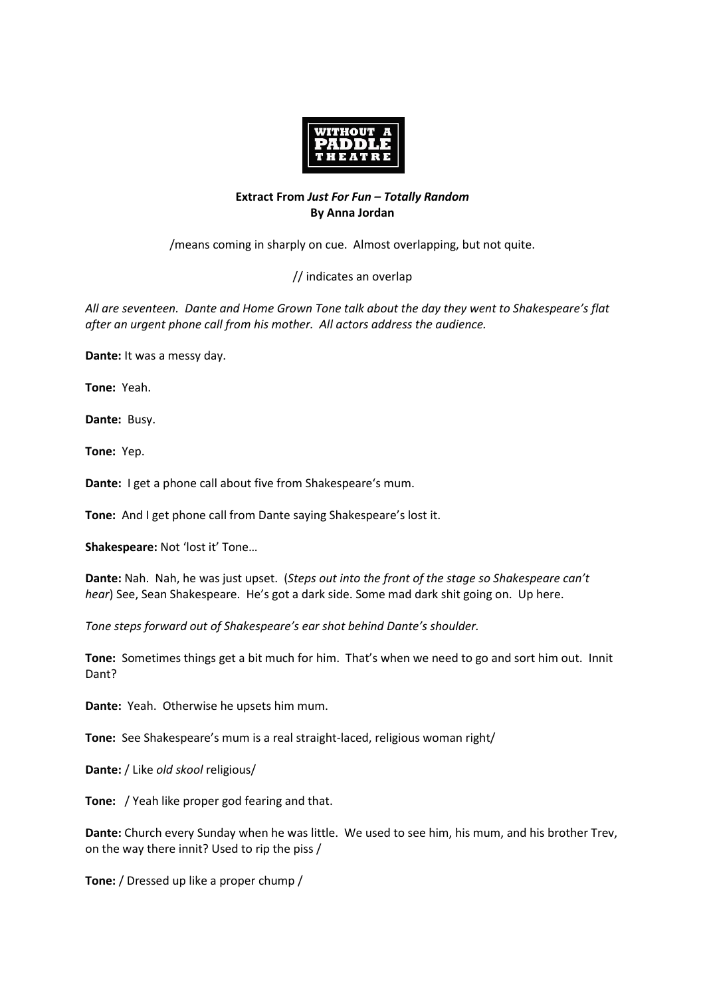

## **Extract From** *Just For Fun – Totally Random* **By Anna Jordan**

/means coming in sharply on cue. Almost overlapping, but not quite.

// indicates an overlap

*All are seventeen. Dante and Home Grown Tone talk about the day they went to Shakespeare's flat after an urgent phone call from his mother. All actors address the audience.* 

**Dante:** It was a messy day.

**Tone:** Yeah.

**Dante:** Busy.

**Tone:** Yep.

**Dante:** I get a phone call about five from Shakespeare's mum.

**Tone:** And I get phone call from Dante saying Shakespeare's lost it.

**Shakespeare:** Not 'lost it' Tone…

**Dante:** Nah. Nah, he was just upset. (*Steps out into the front of the stage so Shakespeare can't hear*) See, Sean Shakespeare. He's got a dark side. Some mad dark shit going on. Up here.

*Tone steps forward out of Shakespeare's ear shot behind Dante's shoulder.* 

**Tone:** Sometimes things get a bit much for him. That's when we need to go and sort him out. Innit Dant?

**Dante:** Yeah. Otherwise he upsets him mum.

**Tone:** See Shakespeare's mum is a real straight-laced, religious woman right/

**Dante:** / Like *old skool* religious/

**Tone:** / Yeah like proper god fearing and that.

**Dante:** Church every Sunday when he was little. We used to see him, his mum, and his brother Trev, on the way there innit? Used to rip the piss /

**Tone:** / Dressed up like a proper chump /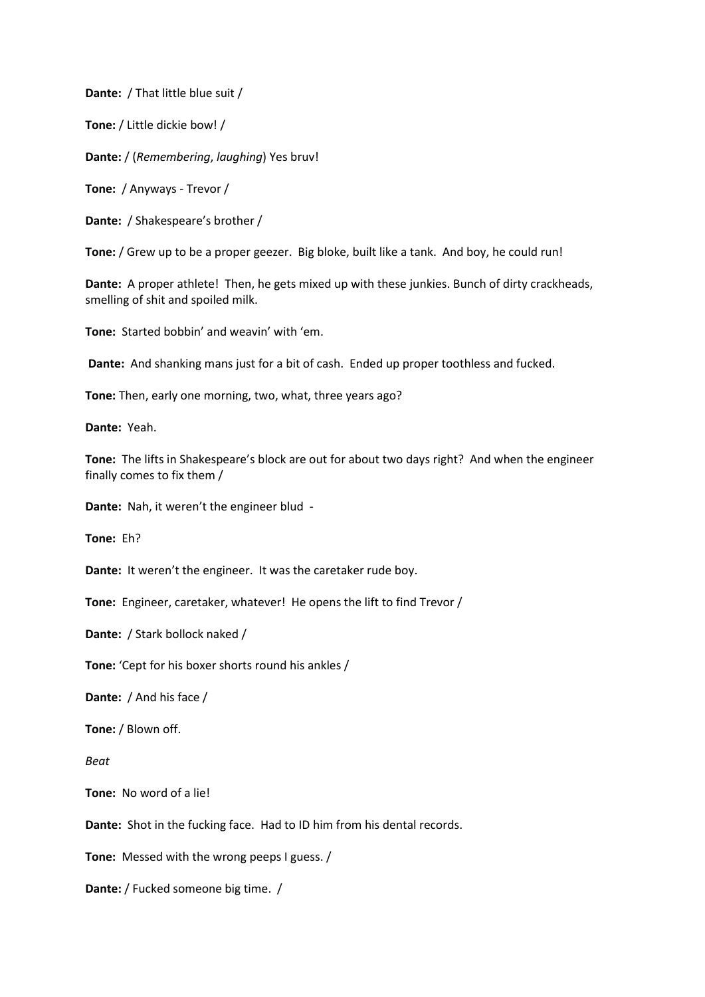**Dante:** / That little blue suit /

**Tone:** / Little dickie bow! /

**Dante:** / (*Remembering*, *laughing*) Yes bruv!

**Tone:** / Anyways - Trevor /

**Dante:** / Shakespeare's brother /

**Tone:** / Grew up to be a proper geezer. Big bloke, built like a tank. And boy, he could run!

**Dante:** A proper athlete! Then, he gets mixed up with these junkies. Bunch of dirty crackheads, smelling of shit and spoiled milk.

**Tone:** Started bobbin' and weavin' with 'em.

**Dante:** And shanking mans just for a bit of cash. Ended up proper toothless and fucked.

**Tone:** Then, early one morning, two, what, three years ago?

**Dante:** Yeah.

**Tone:** The lifts in Shakespeare's block are out for about two days right? And when the engineer finally comes to fix them /

**Dante:** Nah, it weren't the engineer blud -

**Tone:** Eh?

**Dante:** It weren't the engineer. It was the caretaker rude boy.

**Tone:** Engineer, caretaker, whatever! He opens the lift to find Trevor /

**Dante:** / Stark bollock naked /

**Tone:** 'Cept for his boxer shorts round his ankles /

**Dante:** / And his face /

**Tone:** / Blown off.

*Beat*

**Tone:** No word of a lie!

**Dante:** Shot in the fucking face. Had to ID him from his dental records.

**Tone:** Messed with the wrong peeps I guess. /

**Dante:** / Fucked someone big time. /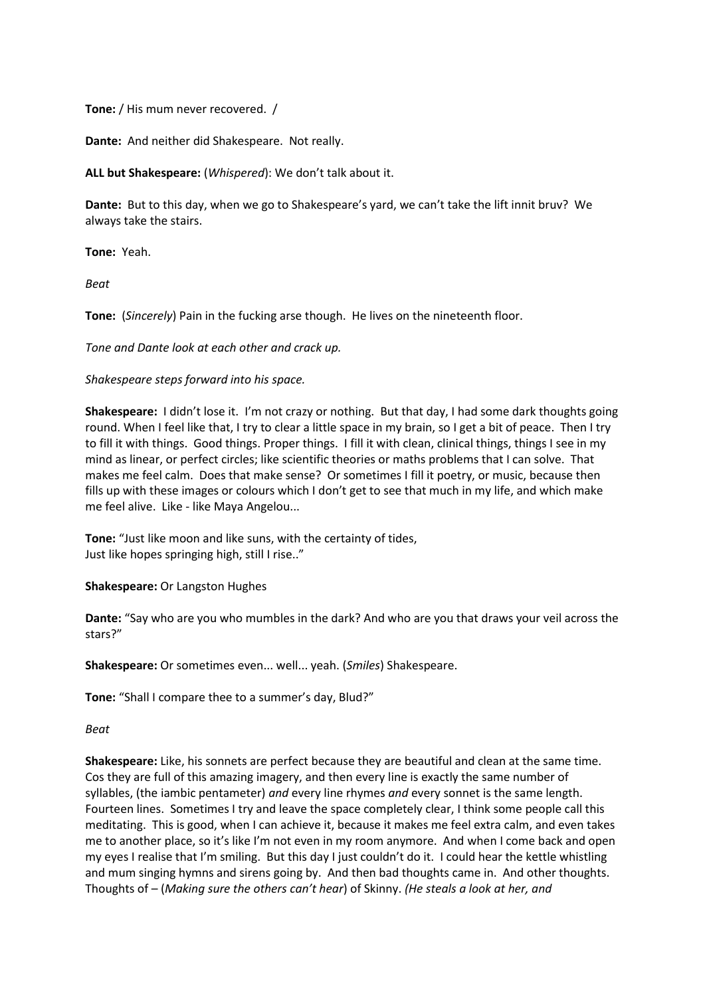**Tone:** / His mum never recovered. /

**Dante:** And neither did Shakespeare. Not really.

**ALL but Shakespeare:** (*Whispered*): We don't talk about it.

**Dante:** But to this day, when we go to Shakespeare's yard, we can't take the lift innit bruv? We always take the stairs.

**Tone:** Yeah.

*Beat*

**Tone:** (*Sincerely*) Pain in the fucking arse though. He lives on the nineteenth floor.

*Tone and Dante look at each other and crack up.* 

## *Shakespeare steps forward into his space.*

**Shakespeare:** I didn't lose it. I'm not crazy or nothing. But that day, I had some dark thoughts going round. When I feel like that, I try to clear a little space in my brain, so I get a bit of peace. Then I try to fill it with things. Good things. Proper things. I fill it with clean, clinical things, things I see in my mind as linear, or perfect circles; like scientific theories or maths problems that I can solve. That makes me feel calm. Does that make sense? Or sometimes I fill it poetry, or music, because then fills up with these images or colours which I don't get to see that much in my life, and which make me feel alive. Like - like Maya Angelou...

**Tone:** "Just like moon and like suns, with the certainty of tides, Just like hopes springing high, still I rise.."

## **Shakespeare:** Or Langston Hughes

**Dante:** "Say who are you who mumbles in the dark? And who are you that draws your veil across the stars?"

**Shakespeare:** Or sometimes even... well... yeah. (*Smiles*) Shakespeare.

**Tone:** "Shall I compare thee to a summer's day, Blud?"

*Beat*

**Shakespeare:** Like, his sonnets are perfect because they are beautiful and clean at the same time. Cos they are full of this amazing imagery, and then every line is exactly the same number of syllables, (the iambic pentameter) *and* every line rhymes *and* every sonnet is the same length. Fourteen lines. Sometimes I try and leave the space completely clear, I think some people call this meditating. This is good, when I can achieve it, because it makes me feel extra calm, and even takes me to another place, so it's like I'm not even in my room anymore. And when I come back and open my eyes I realise that I'm smiling. But this day I just couldn't do it. I could hear the kettle whistling and mum singing hymns and sirens going by. And then bad thoughts came in. And other thoughts. Thoughts of – (*Making sure the others can't hear*) of Skinny. *(He steals a look at her, and*